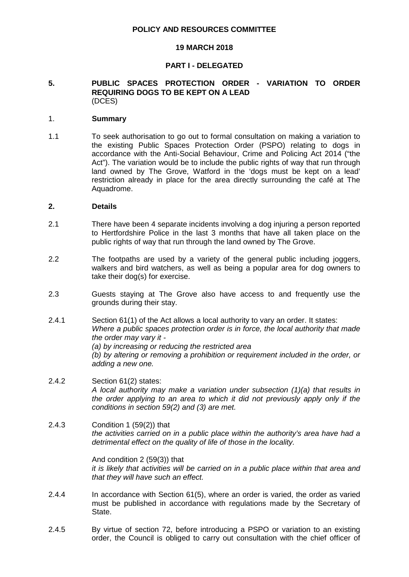#### **POLICY AND RESOURCES COMMITTEE**

#### **19 MARCH 2018**

#### **PART I - DELEGATED**

## **5. PUBLIC SPACES PROTECTION ORDER - VARIATION TO ORDER REQUIRING DOGS TO BE KEPT ON A LEAD** (DCES)

#### 1. **Summary**

1.1 To seek authorisation to go out to formal consultation on making a variation to the existing Public Spaces Protection Order (PSPO) relating to dogs in accordance with the Anti-Social Behaviour, Crime and Policing Act 2014 ("the Act"). The variation would be to include the public rights of way that run through land owned by The Grove, Watford in the 'dogs must be kept on a lead' restriction already in place for the area directly surrounding the café at The Aquadrome.

#### **2. Details**

- 2.1 There have been 4 separate incidents involving a dog injuring a person reported to Hertfordshire Police in the last 3 months that have all taken place on the public rights of way that run through the land owned by The Grove.
- 2.2 The footpaths are used by a variety of the general public including joggers, walkers and bird watchers, as well as being a popular area for dog owners to take their dog(s) for exercise.
- 2.3 Guests staying at The Grove also have access to and frequently use the grounds during their stay.
- 2.4.1 Section 61(1) of the Act allows a local authority to vary an order. It states: *Where a public spaces protection order is in force, the local authority that made the order may vary it - (a) by increasing or reducing the restricted area (b) by altering or removing a prohibition or requirement included in the order, or adding a new one.*
- 2.4.2 Section 61(2) states: *A local authority may make a variation under subsection (1)(a) that results in the order applying to an area to which it did not previously apply only if the conditions in section 59(2) and (3) are met.*
- 2.4.3 Condition 1 (59(2)) that *the activities carried on in a public place within the authority's area have had a detrimental effect on the quality of life of those in the locality.*

And condition 2 (59(3)) that *it is likely that activities will be carried on in a public place within that area and that they will have such an effect.*

- 2.4.4 In accordance with Section 61(5), where an order is varied, the order as varied must be published in accordance with regulations made by the Secretary of State.
- 2.4.5 By virtue of section 72, before introducing a PSPO or variation to an existing order, the Council is obliged to carry out consultation with the chief officer of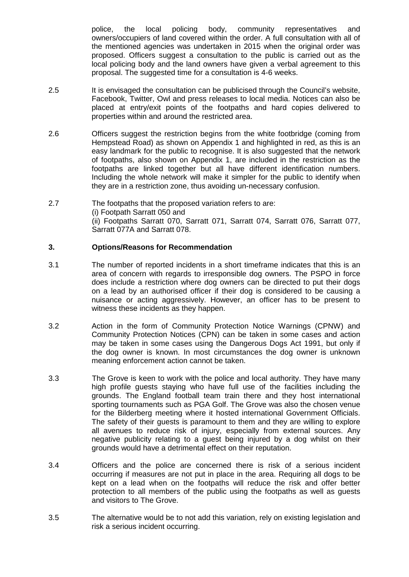police, the local policing body, community representatives and owners/occupiers of land covered within the order. A full consultation with all of the mentioned agencies was undertaken in 2015 when the original order was proposed. Officers suggest a consultation to the public is carried out as the local policing body and the land owners have given a verbal agreement to this proposal. The suggested time for a consultation is 4-6 weeks.

- 2.5 It is envisaged the consultation can be publicised through the Council's website, Facebook, Twitter, Owl and press releases to local media. Notices can also be placed at entry/exit points of the footpaths and hard copies delivered to properties within and around the restricted area.
- 2.6 Officers suggest the restriction begins from the white footbridge (coming from Hempstead Road) as shown on Appendix 1 and highlighted in red, as this is an easy landmark for the public to recognise. It is also suggested that the network of footpaths, also shown on Appendix 1, are included in the restriction as the footpaths are linked together but all have different identification numbers. Including the whole network will make it simpler for the public to identify when they are in a restriction zone, thus avoiding un-necessary confusion.
- 2.7 The footpaths that the proposed variation refers to are: (i) Footpath Sarratt 050 and (ii) Footpaths Sarratt 070, Sarratt 071, Sarratt 074, Sarratt 076, Sarratt 077, Sarratt 077A and Sarratt 078.

## **3. Options/Reasons for Recommendation**

- 3.1 The number of reported incidents in a short timeframe indicates that this is an area of concern with regards to irresponsible dog owners. The PSPO in force does include a restriction where dog owners can be directed to put their dogs on a lead by an authorised officer if their dog is considered to be causing a nuisance or acting aggressively. However, an officer has to be present to witness these incidents as they happen.
- 3.2 Action in the form of Community Protection Notice Warnings (CPNW) and Community Protection Notices (CPN) can be taken in some cases and action may be taken in some cases using the Dangerous Dogs Act 1991, but only if the dog owner is known. In most circumstances the dog owner is unknown meaning enforcement action cannot be taken.
- 3.3 The Grove is keen to work with the police and local authority. They have many high profile guests staying who have full use of the facilities including the grounds. The England football team train there and they host international sporting tournaments such as PGA Golf. The Grove was also the chosen venue for the Bilderberg meeting where it hosted international Government Officials. The safety of their guests is paramount to them and they are willing to explore all avenues to reduce risk of injury, especially from external sources. Any negative publicity relating to a guest being injured by a dog whilst on their grounds would have a detrimental effect on their reputation.
- 3.4 Officers and the police are concerned there is risk of a serious incident occurring if measures are not put in place in the area. Requiring all dogs to be kept on a lead when on the footpaths will reduce the risk and offer better protection to all members of the public using the footpaths as well as guests and visitors to The Grove.
- 3.5 The alternative would be to not add this variation, rely on existing legislation and risk a serious incident occurring.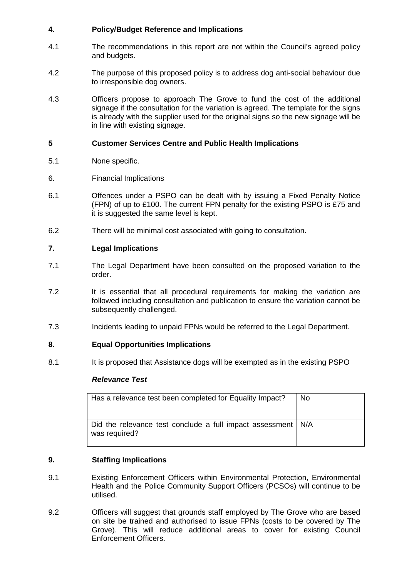# **4. Policy/Budget Reference and Implications**

- 4.1 The recommendations in this report are not within the Council's agreed policy and budgets.
- 4.2 The purpose of this proposed policy is to address dog anti-social behaviour due to irresponsible dog owners.
- 4.3 Officers propose to approach The Grove to fund the cost of the additional signage if the consultation for the variation is agreed. The template for the signs is already with the supplier used for the original signs so the new signage will be in line with existing signage.

## **5 Customer Services Centre and Public Health Implications**

- 5.1 None specific.
- 6. Financial Implications
- 6.1 Offences under a PSPO can be dealt with by issuing a Fixed Penalty Notice (FPN) of up to £100. The current FPN penalty for the existing PSPO is £75 and it is suggested the same level is kept.
- 6.2 There will be minimal cost associated with going to consultation.

# **7. Legal Implications**

- 7.1 The Legal Department have been consulted on the proposed variation to the order.
- 7.2 It is essential that all procedural requirements for making the variation are followed including consultation and publication to ensure the variation cannot be subsequently challenged.
- 7.3 Incidents leading to unpaid FPNs would be referred to the Legal Department.

## **8. Equal Opportunities Implications**

8.1 It is proposed that Assistance dogs will be exempted as in the existing PSPO

## *Relevance Test*

| Has a relevance test been completed for Equality Impact?                        | No. |
|---------------------------------------------------------------------------------|-----|
| Did the relevance test conclude a full impact assessment   N/A<br>was required? |     |

## **9. Staffing Implications**

- 9.1 Existing Enforcement Officers within Environmental Protection, Environmental Health and the Police Community Support Officers (PCSOs) will continue to be utilised.
- 9.2 Officers will suggest that grounds staff employed by The Grove who are based on site be trained and authorised to issue FPNs (costs to be covered by The Grove). This will reduce additional areas to cover for existing Council Enforcement Officers.